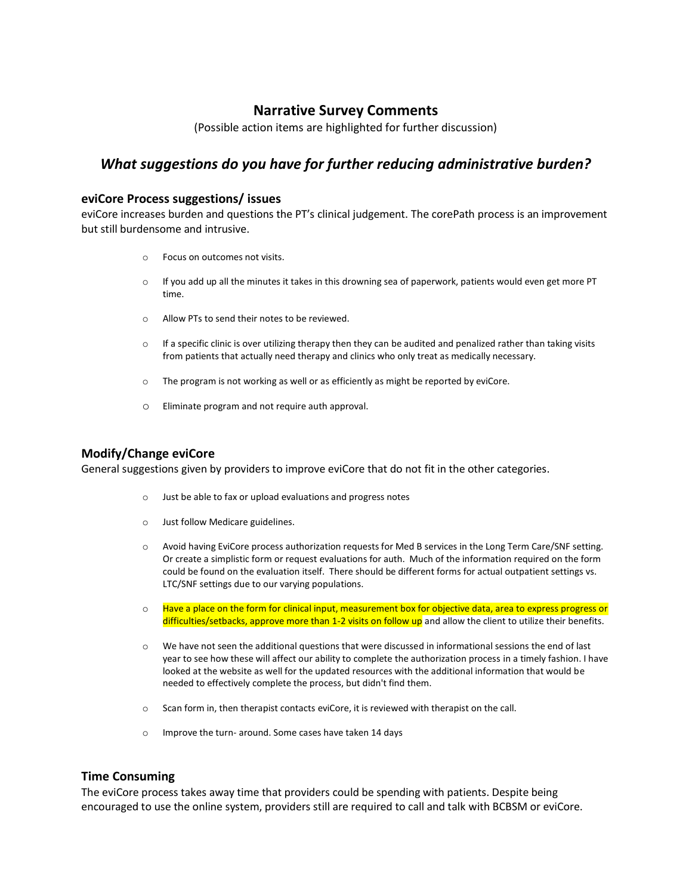# **Narrative Survey Comments**

(Possible action items are highlighted for further discussion)

# *What suggestions do you have for further reducing administrative burden?*

# **eviCore Process suggestions/ issues**

eviCore increases burden and questions the PT's clinical judgement. The corePath process is an improvement but still burdensome and intrusive.

- o Focus on outcomes not visits.
- $\circ$  If you add up all the minutes it takes in this drowning sea of paperwork, patients would even get more PT time.
- o Allow PTs to send their notes to be reviewed.
- $\circ$  If a specific clinic is over utilizing therapy then they can be audited and penalized rather than taking visits from patients that actually need therapy and clinics who only treat as medically necessary.
- $\circ$  The program is not working as well or as efficiently as might be reported by eviCore.
- o Eliminate program and not require auth approval.

# **Modify/Change eviCore**

General suggestions given by providers to improve eviCore that do not fit in the other categories.

- o Just be able to fax or upload evaluations and progress notes
- o Just follow Medicare guidelines.
- o Avoid having EviCore process authorization requests for Med B services in the Long Term Care/SNF setting. Or create a simplistic form or request evaluations for auth. Much of the information required on the form could be found on the evaluation itself. There should be different forms for actual outpatient settings vs. LTC/SNF settings due to our varying populations.
- $\circ$  Have a place on the form for clinical input, measurement box for objective data, area to express progress or difficulties/setbacks, approve more than 1-2 visits on follow up and allow the client to utilize their benefits.
- o We have not seen the additional questions that were discussed in informational sessions the end of last year to see how these will affect our ability to complete the authorization process in a timely fashion. I have looked at the website as well for the updated resources with the additional information that would be needed to effectively complete the process, but didn't find them.
- o Scan form in, then therapist contacts eviCore, it is reviewed with therapist on the call.
- o Improve the turn- around. Some cases have taken 14 days

# **Time Consuming**

The eviCore process takes away time that providers could be spending with patients. Despite being encouraged to use the online system, providers still are required to call and talk with BCBSM or eviCore.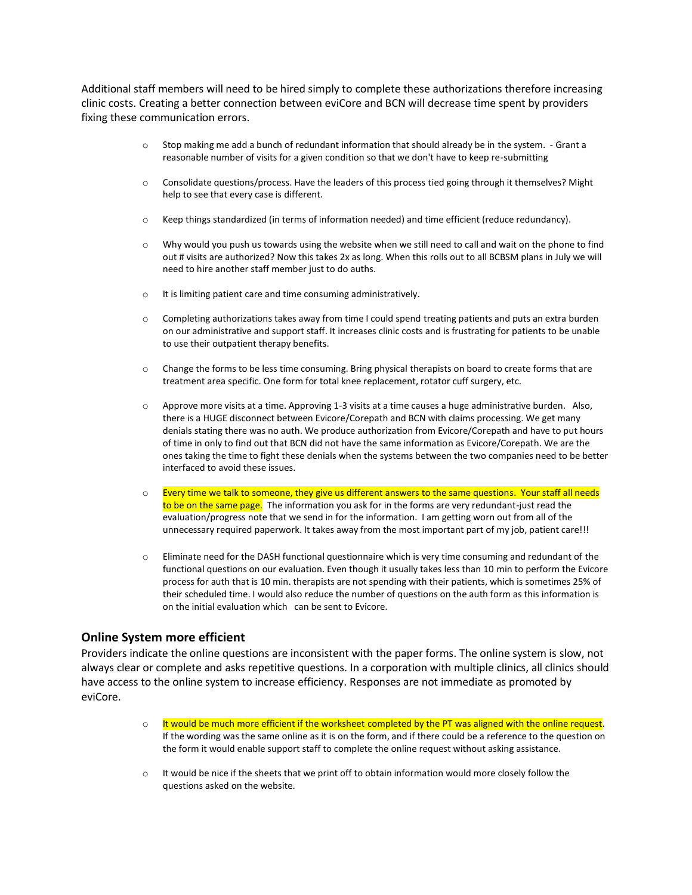Additional staff members will need to be hired simply to complete these authorizations therefore increasing clinic costs. Creating a better connection between eviCore and BCN will decrease time spent by providers fixing these communication errors.

- $\circ$  Stop making me add a bunch of redundant information that should already be in the system. Grant a reasonable number of visits for a given condition so that we don't have to keep re-submitting
- o Consolidate questions/process. Have the leaders of this process tied going through it themselves? Might help to see that every case is different.
- o Keep things standardized (in terms of information needed) and time efficient (reduce redundancy).
- $\circ$  Why would you push us towards using the website when we still need to call and wait on the phone to find out # visits are authorized? Now this takes 2x as long. When this rolls out to all BCBSM plans in July we will need to hire another staff member just to do auths.
- o It is limiting patient care and time consuming administratively.
- $\circ$  Completing authorizations takes away from time I could spend treating patients and puts an extra burden on our administrative and support staff. It increases clinic costs and is frustrating for patients to be unable to use their outpatient therapy benefits.
- $\circ$  Change the forms to be less time consuming. Bring physical therapists on board to create forms that are treatment area specific. One form for total knee replacement, rotator cuff surgery, etc.
- $\circ$  Approve more visits at a time. Approving 1-3 visits at a time causes a huge administrative burden. Also, there is a HUGE disconnect between Evicore/Corepath and BCN with claims processing. We get many denials stating there was no auth. We produce authorization from Evicore/Corepath and have to put hours of time in only to find out that BCN did not have the same information as Evicore/Corepath. We are the ones taking the time to fight these denials when the systems between the two companies need to be better interfaced to avoid these issues.
- $\circ$  Every time we talk to someone, they give us different answers to the same questions. Your staff all needs to be on the same page. The information you ask for in the forms are very redundant-just read the evaluation/progress note that we send in for the information. I am getting worn out from all of the unnecessary required paperwork. It takes away from the most important part of my job, patient care!!!
- o Eliminate need for the DASH functional questionnaire which is very time consuming and redundant of the functional questions on our evaluation. Even though it usually takes less than 10 min to perform the Evicore process for auth that is 10 min. therapists are not spending with their patients, which is sometimes 25% of their scheduled time. I would also reduce the number of questions on the auth form as this information is on the initial evaluation which can be sent to Evicore.

### **Online System more efficient**

Providers indicate the online questions are inconsistent with the paper forms. The online system is slow, not always clear or complete and asks repetitive questions. In a corporation with multiple clinics, all clinics should have access to the online system to increase efficiency. Responses are not immediate as promoted by eviCore.

- $\circ$  It would be much more efficient if the worksheet completed by the PT was aligned with the online request. If the wording was the same online as it is on the form, and if there could be a reference to the question on the form it would enable support staff to complete the online request without asking assistance.
- $\circ$  It would be nice if the sheets that we print off to obtain information would more closely follow the questions asked on the website.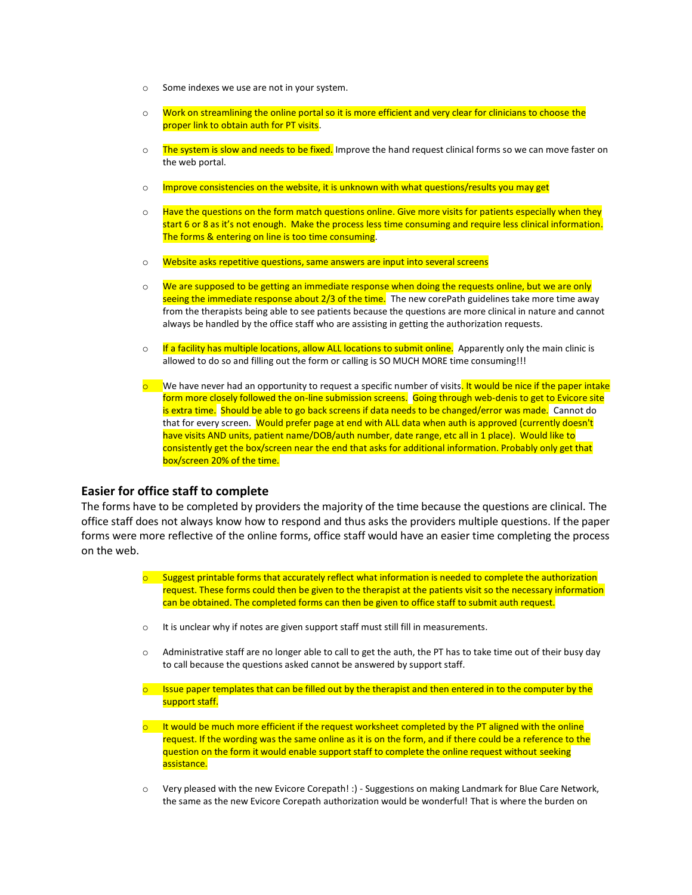- o Some indexes we use are not in your system.
- o Work on streamlining the online portal so it is more efficient and very clear for clinicians to choose the proper link to obtain auth for PT visits.
- o The system is slow and needs to be fixed. Improve the hand request clinical forms so we can move faster on the web portal.
- o Improve consistencies on the website, it is unknown with what questions/results you may get
- $\circ$  Have the questions on the form match questions online. Give more visits for patients especially when they start 6 or 8 as it's not enough. Make the process less time consuming and require less clinical information. The forms & entering on line is too time consuming.
- o Website asks repetitive questions, same answers are input into several screens
- o We are supposed to be getting an immediate response when doing the requests online, but we are only seeing the immediate response about 2/3 of the time. The new corePath guidelines take more time away from the therapists being able to see patients because the questions are more clinical in nature and cannot always be handled by the office staff who are assisting in getting the authorization requests.
- $\circ$  If a facility has multiple locations, allow ALL locations to submit online. Apparently only the main clinic is allowed to do so and filling out the form or calling is SO MUCH MORE time consuming!!!
- $\circ$  We have never had an opportunity to request a specific number of visits. It would be nice if the paper intake form more closely followed the on-line submission screens. Going through web-denis to get to Evicore site is extra time. Should be able to go back screens if data needs to be changed/error was made. Cannot do that for every screen. Would prefer page at end with ALL data when auth is approved (currently doesn't have visits AND units, patient name/DOB/auth number, date range, etc all in 1 place). Would like to consistently get the box/screen near the end that asks for additional information. Probably only get that box/screen 20% of the time.

### **Easier for office staff to complete**

The forms have to be completed by providers the majority of the time because the questions are clinical. The office staff does not always know how to respond and thus asks the providers multiple questions. If the paper forms were more reflective of the online forms, office staff would have an easier time completing the process on the web.

- $\circ$  Suggest printable forms that accurately reflect what information is needed to complete the authorization request. These forms could then be given to the therapist at the patients visit so the necessary information can be obtained. The completed forms can then be given to office staff to submit auth request.
- o It is unclear why if notes are given support staff must still fill in measurements.
- o Administrative staff are no longer able to call to get the auth, the PT has to take time out of their busy day to call because the questions asked cannot be answered by support staff.
- $\circ$  Issue paper templates that can be filled out by the therapist and then entered in to the computer by the support staff.
- $\circ$  It would be much more efficient if the request worksheet completed by the PT aligned with the online request. If the wording was the same online as it is on the form, and if there could be a reference to the question on the form it would enable support staff to complete the online request without seeking assistance.
- o Very pleased with the new Evicore Corepath! :) Suggestions on making Landmark for Blue Care Network, the same as the new Evicore Corepath authorization would be wonderful! That is where the burden on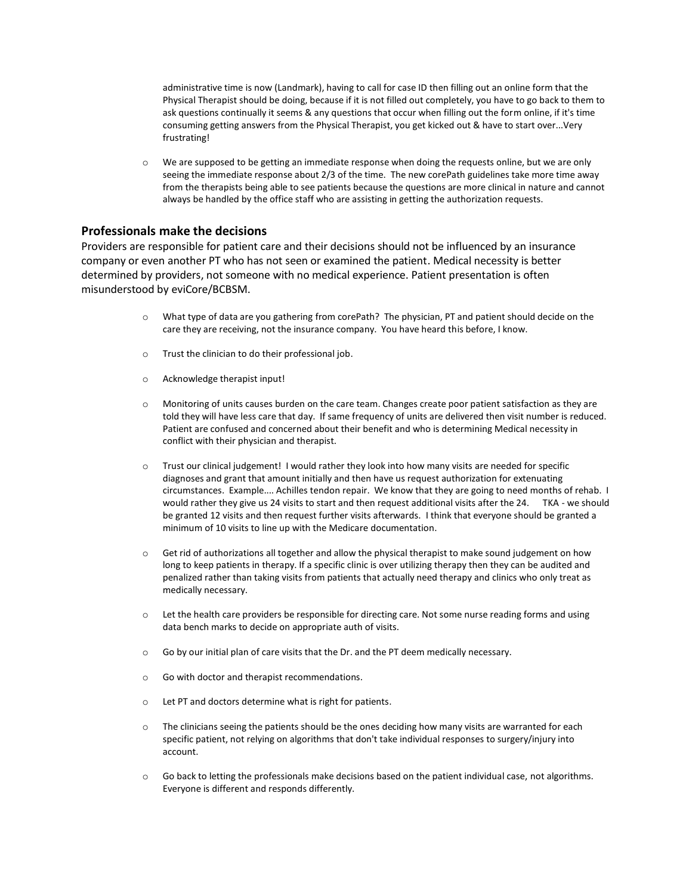administrative time is now (Landmark), having to call for case ID then filling out an online form that the Physical Therapist should be doing, because if it is not filled out completely, you have to go back to them to ask questions continually it seems & any questions that occur when filling out the form online, if it's time consuming getting answers from the Physical Therapist, you get kicked out & have to start over...Very frustrating!

o We are supposed to be getting an immediate response when doing the requests online, but we are only seeing the immediate response about 2/3 of the time. The new corePath guidelines take more time away from the therapists being able to see patients because the questions are more clinical in nature and cannot always be handled by the office staff who are assisting in getting the authorization requests.

## **Professionals make the decisions**

Providers are responsible for patient care and their decisions should not be influenced by an insurance company or even another PT who has not seen or examined the patient. Medical necessity is better determined by providers, not someone with no medical experience. Patient presentation is often misunderstood by eviCore/BCBSM.

- o What type of data are you gathering from corePath? The physician, PT and patient should decide on the care they are receiving, not the insurance company. You have heard this before, I know.
- o Trust the clinician to do their professional job.
- o Acknowledge therapist input!
- o Monitoring of units causes burden on the care team. Changes create poor patient satisfaction as they are told they will have less care that day. If same frequency of units are delivered then visit number is reduced. Patient are confused and concerned about their benefit and who is determining Medical necessity in conflict with their physician and therapist.
- $\circ$  Trust our clinical judgement! I would rather they look into how many visits are needed for specific diagnoses and grant that amount initially and then have us request authorization for extenuating circumstances. Example.... Achilles tendon repair. We know that they are going to need months of rehab. I would rather they give us 24 visits to start and then request additional visits after the 24. TKA - we should be granted 12 visits and then request further visits afterwards. I think that everyone should be granted a minimum of 10 visits to line up with the Medicare documentation.
- o Get rid of authorizations all together and allow the physical therapist to make sound judgement on how long to keep patients in therapy. If a specific clinic is over utilizing therapy then they can be audited and penalized rather than taking visits from patients that actually need therapy and clinics who only treat as medically necessary.
- $\circ$  Let the health care providers be responsible for directing care. Not some nurse reading forms and using data bench marks to decide on appropriate auth of visits.
- o Go by our initial plan of care visits that the Dr. and the PT deem medically necessary.
- o Go with doctor and therapist recommendations.
- o Let PT and doctors determine what is right for patients.
- $\circ$  The clinicians seeing the patients should be the ones deciding how many visits are warranted for each specific patient, not relying on algorithms that don't take individual responses to surgery/injury into account.
- $\circ$  Go back to letting the professionals make decisions based on the patient individual case, not algorithms. Everyone is different and responds differently.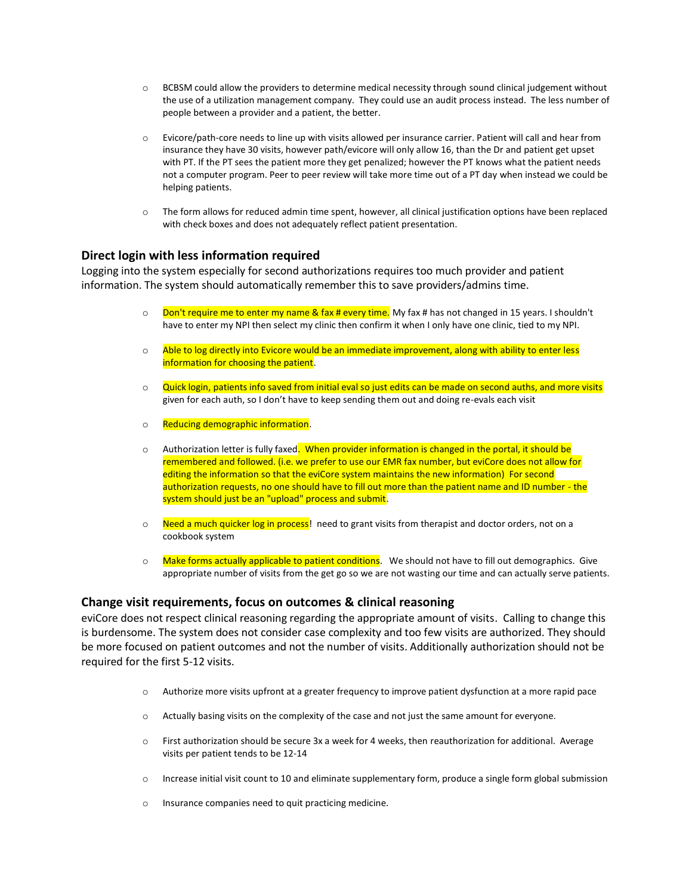- o BCBSM could allow the providers to determine medical necessity through sound clinical judgement without the use of a utilization management company. They could use an audit process instead. The less number of people between a provider and a patient, the better.
- o Evicore/path-core needs to line up with visits allowed per insurance carrier. Patient will call and hear from insurance they have 30 visits, however path/evicore will only allow 16, than the Dr and patient get upset with PT. If the PT sees the patient more they get penalized; however the PT knows what the patient needs not a computer program. Peer to peer review will take more time out of a PT day when instead we could be helping patients.
- o The form allows for reduced admin time spent, however, all clinical justification options have been replaced with check boxes and does not adequately reflect patient presentation.

## **Direct login with less information required**

Logging into the system especially for second authorizations requires too much provider and patient information. The system should automatically remember this to save providers/admins time.

- $\circ$  Don't require me to enter my name & fax # every time. My fax # has not changed in 15 years. I shouldn't have to enter my NPI then select my clinic then confirm it when I only have one clinic, tied to my NPI.
- o Able to log directly into Evicore would be an immediate improvement, along with ability to enter less information for choosing the patient.
- o Quick login, patients info saved from initial eval so just edits can be made on second auths, and more visits given for each auth, so I don't have to keep sending them out and doing re-evals each visit
- o Reducing demographic information.
- $\circ$  Authorization letter is fully faxed. When provider information is changed in the portal, it should be remembered and followed. (i.e. we prefer to use our EMR fax number, but eviCore does not allow for editing the information so that the eviCore system maintains the new information) For second authorization requests, no one should have to fill out more than the patient name and ID number - the system should just be an "upload" process and submit.
- $\circ$  Need a much quicker log in process! need to grant visits from therapist and doctor orders, not on a cookbook system
- $\circ$  Make forms actually applicable to patient conditions. We should not have to fill out demographics. Give appropriate number of visits from the get go so we are not wasting our time and can actually serve patients.

### **Change visit requirements, focus on outcomes & clinical reasoning**

eviCore does not respect clinical reasoning regarding the appropriate amount of visits. Calling to change this is burdensome. The system does not consider case complexity and too few visits are authorized. They should be more focused on patient outcomes and not the number of visits. Additionally authorization should not be required for the first 5-12 visits.

- o Authorize more visits upfront at a greater frequency to improve patient dysfunction at a more rapid pace
- o Actually basing visits on the complexity of the case and not just the same amount for everyone.
- o First authorization should be secure 3x a week for 4 weeks, then reauthorization for additional. Average visits per patient tends to be 12-14
- $\circ$  Increase initial visit count to 10 and eliminate supplementary form, produce a single form global submission
- o Insurance companies need to quit practicing medicine.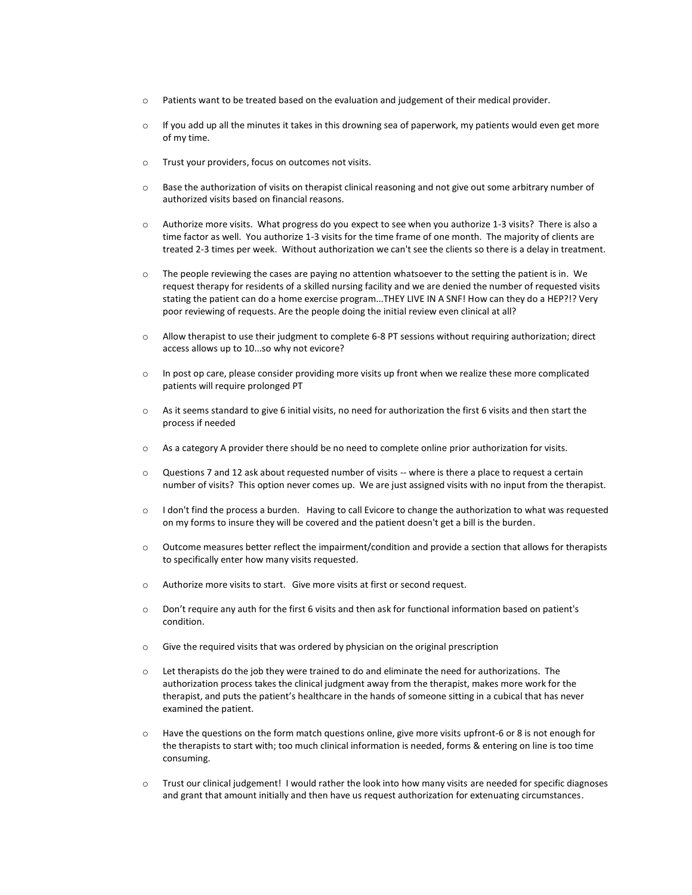- o Patients want to be treated based on the evaluation and judgement of their medical provider.
- $\circ$  If you add up all the minutes it takes in this drowning sea of paperwork, my patients would even get more of my time.
- o Trust your providers, focus on outcomes not visits.
- o Base the authorization of visits on therapist clinical reasoning and not give out some arbitrary number of authorized visits based on financial reasons.
- o Authorize more visits. What progress do you expect to see when you authorize 1-3 visits? There is also a time factor as well. You authorize 1-3 visits for the time frame of one month. The majority of clients are treated 2-3 times per week. Without authorization we can't see the clients so there is a delay in treatment.
- o The people reviewing the cases are paying no attention whatsoever to the setting the patient is in. We request therapy for residents of a skilled nursing facility and we are denied the number of requested visits stating the patient can do a home exercise program...THEY LIVE IN A SNF! How can they do a HEP?!? Very poor reviewing of requests. Are the people doing the initial review even clinical at all?
- o Allow therapist to use their judgment to complete 6-8 PT sessions without requiring authorization; direct access allows up to 10...so why not evicore?
- $\circ$  In post op care, please consider providing more visits up front when we realize these more complicated patients will require prolonged PT
- o As it seems standard to give 6 initial visits, no need for authorization the first 6 visits and then start the process if needed
- $\circ$  As a category A provider there should be no need to complete online prior authorization for visits.
- o Questions 7 and 12 ask about requested number of visits -- where is there a place to request a certain number of visits? This option never comes up. We are just assigned visits with no input from the therapist.
- $\circ$  I don't find the process a burden. Having to call Evicore to change the authorization to what was requested on my forms to insure they will be covered and the patient doesn't get a bill is the burden.
- $\circ$  Outcome measures better reflect the impairment/condition and provide a section that allows for therapists to specifically enter how many visits requested.
- o Authorize more visits to start. Give more visits at first or second request.
- o Don't require any auth for the first 6 visits and then ask for functional information based on patient's condition.
- o Give the required visits that was ordered by physician on the original prescription
- $\circ$  Let therapists do the job they were trained to do and eliminate the need for authorizations. The authorization process takes the clinical judgment away from the therapist, makes more work for the therapist, and puts the patient's healthcare in the hands of someone sitting in a cubical that has never examined the patient.
- o Have the questions on the form match questions online, give more visits upfront-6 or 8 is not enough for the therapists to start with; too much clinical information is needed, forms & entering on line is too time consuming.
- o Trust our clinical judgement! I would rather the look into how many visits are needed for specific diagnoses and grant that amount initially and then have us request authorization for extenuating circumstances.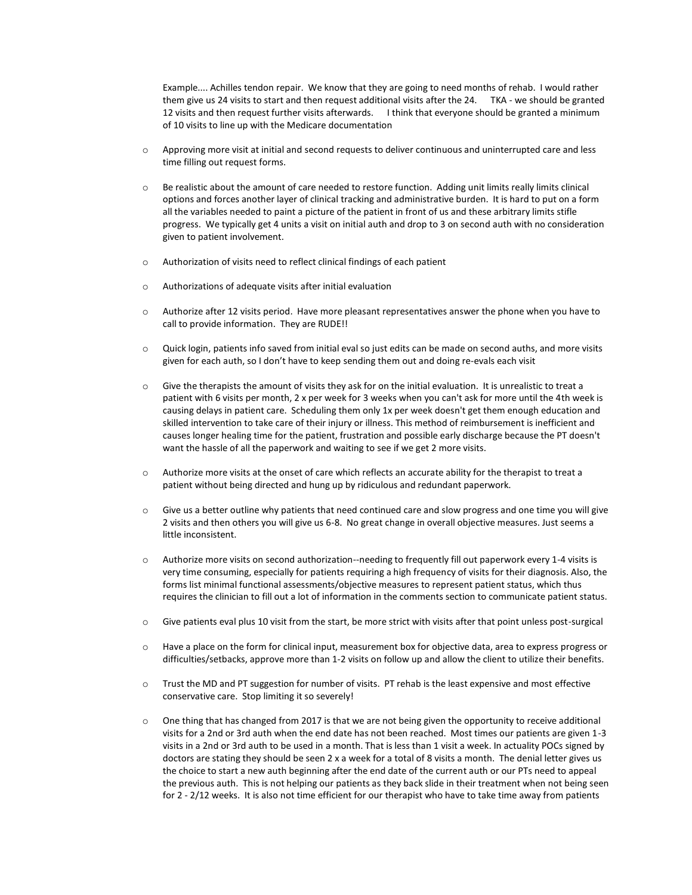Example.... Achilles tendon repair. We know that they are going to need months of rehab. I would rather them give us 24 visits to start and then request additional visits after the 24. TKA - we should be granted 12 visits and then request further visits afterwards. I think that everyone should be granted a minimum of 10 visits to line up with the Medicare documentation

- o Approving more visit at initial and second requests to deliver continuous and uninterrupted care and less time filling out request forms.
- o Be realistic about the amount of care needed to restore function. Adding unit limits really limits clinical options and forces another layer of clinical tracking and administrative burden. It is hard to put on a form all the variables needed to paint a picture of the patient in front of us and these arbitrary limits stifle progress. We typically get 4 units a visit on initial auth and drop to 3 on second auth with no consideration given to patient involvement.
- o Authorization of visits need to reflect clinical findings of each patient
- o Authorizations of adequate visits after initial evaluation
- o Authorize after 12 visits period. Have more pleasant representatives answer the phone when you have to call to provide information. They are RUDE!!
- o Quick login, patients info saved from initial eval so just edits can be made on second auths, and more visits given for each auth, so I don't have to keep sending them out and doing re-evals each visit
- o Give the therapists the amount of visits they ask for on the initial evaluation. It is unrealistic to treat a patient with 6 visits per month, 2 x per week for 3 weeks when you can't ask for more until the 4th week is causing delays in patient care. Scheduling them only 1x per week doesn't get them enough education and skilled intervention to take care of their injury or illness. This method of reimbursement is inefficient and causes longer healing time for the patient, frustration and possible early discharge because the PT doesn't want the hassle of all the paperwork and waiting to see if we get 2 more visits.
- o Authorize more visits at the onset of care which reflects an accurate ability for the therapist to treat a patient without being directed and hung up by ridiculous and redundant paperwork.
- o Give us a better outline why patients that need continued care and slow progress and one time you will give 2 visits and then others you will give us 6-8. No great change in overall objective measures. Just seems a little inconsistent.
- o Authorize more visits on second authorization--needing to frequently fill out paperwork every 1-4 visits is very time consuming, especially for patients requiring a high frequency of visits for their diagnosis. Also, the forms list minimal functional assessments/objective measures to represent patient status, which thus requires the clinician to fill out a lot of information in the comments section to communicate patient status.
- $\circ$  Give patients eval plus 10 visit from the start, be more strict with visits after that point unless post-surgical
- o Have a place on the form for clinical input, measurement box for objective data, area to express progress or difficulties/setbacks, approve more than 1-2 visits on follow up and allow the client to utilize their benefits.
- o Trust the MD and PT suggestion for number of visits. PT rehab is the least expensive and most effective conservative care. Stop limiting it so severely!
- $\circ$  One thing that has changed from 2017 is that we are not being given the opportunity to receive additional visits for a 2nd or 3rd auth when the end date has not been reached. Most times our patients are given 1-3 visits in a 2nd or 3rd auth to be used in a month. That is less than 1 visit a week. In actuality POCs signed by doctors are stating they should be seen 2 x a week for a total of 8 visits a month. The denial letter gives us the choice to start a new auth beginning after the end date of the current auth or our PTs need to appeal the previous auth. This is not helping our patients as they back slide in their treatment when not being seen for 2 - 2/12 weeks. It is also not time efficient for our therapist who have to take time away from patients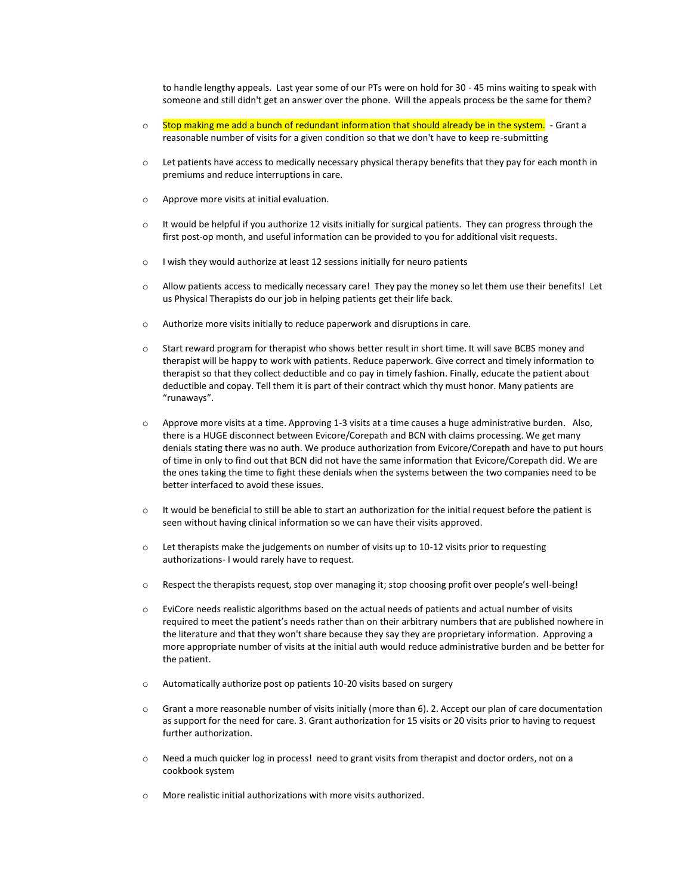to handle lengthy appeals. Last year some of our PTs were on hold for 30 - 45 mins waiting to speak with someone and still didn't get an answer over the phone. Will the appeals process be the same for them?

- $\circ$  Stop making me add a bunch of redundant information that should already be in the system. Grant a reasonable number of visits for a given condition so that we don't have to keep re-submitting
- o Let patients have access to medically necessary physical therapy benefits that they pay for each month in premiums and reduce interruptions in care.
- o Approve more visits at initial evaluation.
- o It would be helpful if you authorize 12 visits initially for surgical patients. They can progress through the first post-op month, and useful information can be provided to you for additional visit requests.
- o I wish they would authorize at least 12 sessions initially for neuro patients
- o Allow patients access to medically necessary care! They pay the money so let them use their benefits! Let us Physical Therapists do our job in helping patients get their life back.
- o Authorize more visits initially to reduce paperwork and disruptions in care.
- o Start reward program for therapist who shows better result in short time. It will save BCBS money and therapist will be happy to work with patients. Reduce paperwork. Give correct and timely information to therapist so that they collect deductible and co pay in timely fashion. Finally, educate the patient about deductible and copay. Tell them it is part of their contract which thy must honor. Many patients are "runaways".
- o Approve more visits at a time. Approving 1-3 visits at a time causes a huge administrative burden. Also, there is a HUGE disconnect between Evicore/Corepath and BCN with claims processing. We get many denials stating there was no auth. We produce authorization from Evicore/Corepath and have to put hours of time in only to find out that BCN did not have the same information that Evicore/Corepath did. We are the ones taking the time to fight these denials when the systems between the two companies need to be better interfaced to avoid these issues.
- $\circ$  It would be beneficial to still be able to start an authorization for the initial request before the patient is seen without having clinical information so we can have their visits approved.
- o Let therapists make the judgements on number of visits up to 10-12 visits prior to requesting authorizations- I would rarely have to request.
- o Respect the therapists request, stop over managing it; stop choosing profit over people's well-being!
- o EviCore needs realistic algorithms based on the actual needs of patients and actual number of visits required to meet the patient's needs rather than on their arbitrary numbers that are published nowhere in the literature and that they won't share because they say they are proprietary information. Approving a more appropriate number of visits at the initial auth would reduce administrative burden and be better for the patient.
- o Automatically authorize post op patients 10-20 visits based on surgery
- o Grant a more reasonable number of visits initially (more than 6). 2. Accept our plan of care documentation as support for the need for care. 3. Grant authorization for 15 visits or 20 visits prior to having to request further authorization.
- o Need a much quicker log in process! need to grant visits from therapist and doctor orders, not on a cookbook system
- o More realistic initial authorizations with more visits authorized.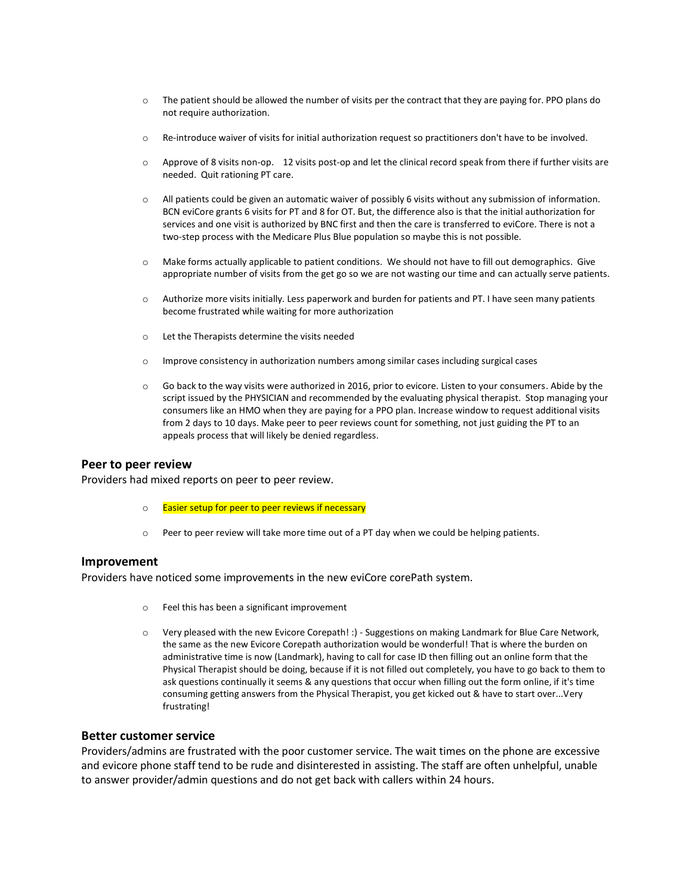- o The patient should be allowed the number of visits per the contract that they are paying for. PPO plans do not require authorization.
- o Re-introduce waiver of visits for initial authorization request so practitioners don't have to be involved.
- o Approve of 8 visits non-op. 12 visits post-op and let the clinical record speak from there if further visits are needed. Quit rationing PT care.
- o All patients could be given an automatic waiver of possibly 6 visits without any submission of information. BCN eviCore grants 6 visits for PT and 8 for OT. But, the difference also is that the initial authorization for services and one visit is authorized by BNC first and then the care is transferred to eviCore. There is not a two-step process with the Medicare Plus Blue population so maybe this is not possible.
- o Make forms actually applicable to patient conditions. We should not have to fill out demographics. Give appropriate number of visits from the get go so we are not wasting our time and can actually serve patients.
- o Authorize more visits initially. Less paperwork and burden for patients and PT. I have seen many patients become frustrated while waiting for more authorization
- o Let the Therapists determine the visits needed
- o Improve consistency in authorization numbers among similar cases including surgical cases
- o Go back to the way visits were authorized in 2016, prior to evicore. Listen to your consumers. Abide by the script issued by the PHYSICIAN and recommended by the evaluating physical therapist. Stop managing your consumers like an HMO when they are paying for a PPO plan. Increase window to request additional visits from 2 days to 10 days. Make peer to peer reviews count for something, not just guiding the PT to an appeals process that will likely be denied regardless.

#### **Peer to peer review**

Providers had mixed reports on peer to peer review.

- o Easier setup for peer to peer reviews if necessary
- o Peer to peer review will take more time out of a PT day when we could be helping patients.

### **Improvement**

Providers have noticed some improvements in the new eviCore corePath system.

- o Feel this has been a significant improvement
- o Very pleased with the new Evicore Corepath! :) Suggestions on making Landmark for Blue Care Network, the same as the new Evicore Corepath authorization would be wonderful! That is where the burden on administrative time is now (Landmark), having to call for case ID then filling out an online form that the Physical Therapist should be doing, because if it is not filled out completely, you have to go back to them to ask questions continually it seems & any questions that occur when filling out the form online, if it's time consuming getting answers from the Physical Therapist, you get kicked out & have to start over...Very frustrating!

#### **Better customer service**

Providers/admins are frustrated with the poor customer service. The wait times on the phone are excessive and evicore phone staff tend to be rude and disinterested in assisting. The staff are often unhelpful, unable to answer provider/admin questions and do not get back with callers within 24 hours.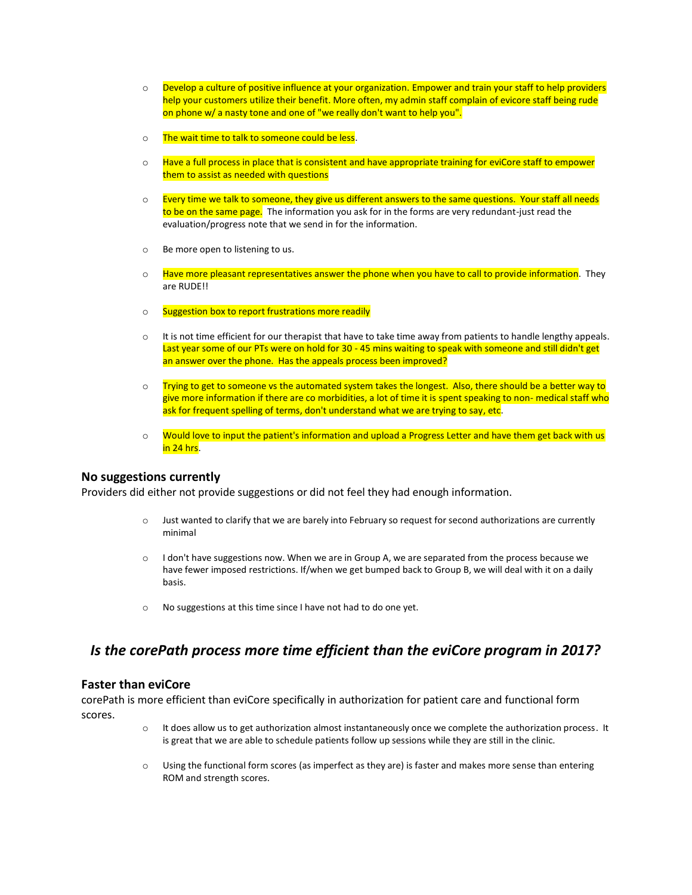- $\circ$  Develop a culture of positive influence at your organization. Empower and train your staff to help providers help your customers utilize their benefit. More often, my admin staff complain of evicore staff being rude on phone w/ a nasty tone and one of "we really don't want to help you".
- o The wait time to talk to someone could be less.
- $\circ$  Have a full process in place that is consistent and have appropriate training for eviCore staff to empower them to assist as needed with questions
- $\circ$  Every time we talk to someone, they give us different answers to the same questions. Your staff all needs to be on the same page. The information you ask for in the forms are very redundant-just read the evaluation/progress note that we send in for the information.
- o Be more open to listening to us.
- $\circ$  Have more pleasant representatives answer the phone when you have to call to provide information. They are RUDE!!
- o Suggestion box to report frustrations more readily
- $\circ$  It is not time efficient for our therapist that have to take time away from patients to handle lengthy appeals. Last year some of our PTs were on hold for 30 - 45 mins waiting to speak with someone and still didn't get an answer over the phone. Has the appeals process been improved?
- $\circ$  Trying to get to someone vs the automated system takes the longest. Also, there should be a better way to give more information if there are co morbidities, a lot of time it is spent speaking to non- medical staff who ask for frequent spelling of terms, don't understand what we are trying to say, etc.
- o Would love to input the patient's information and upload a Progress Letter and have them get back with us in 24 hrs.

### **No suggestions currently**

Providers did either not provide suggestions or did not feel they had enough information.

- o Just wanted to clarify that we are barely into February so request for second authorizations are currently minimal
- $\circ$  I don't have suggestions now. When we are in Group A, we are separated from the process because we have fewer imposed restrictions. If/when we get bumped back to Group B, we will deal with it on a daily basis.
- o No suggestions at this time since I have not had to do one yet.

# *Is the corePath process more time efficient than the eviCore program in 2017?*

# **Faster than eviCore**

corePath is more efficient than eviCore specifically in authorization for patient care and functional form scores.

- o It does allow us to get authorization almost instantaneously once we complete the authorization process. It is great that we are able to schedule patients follow up sessions while they are still in the clinic.
- o Using the functional form scores (as imperfect as they are) is faster and makes more sense than entering ROM and strength scores.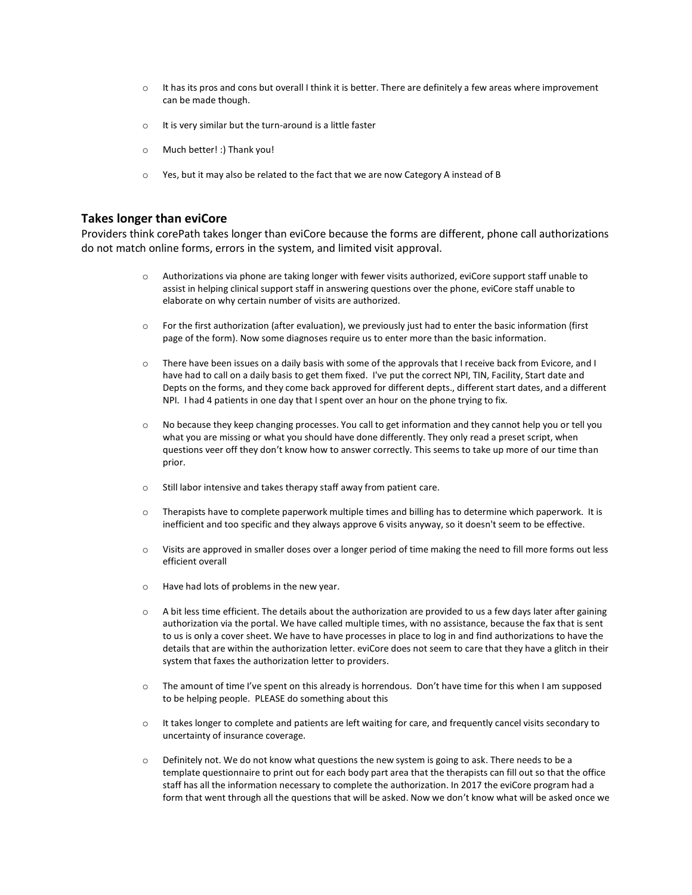- $\circ$  It has its pros and cons but overall I think it is better. There are definitely a few areas where improvement can be made though.
- o It is very similar but the turn-around is a little faster
- o Much better! :) Thank you!
- o Yes, but it may also be related to the fact that we are now Category A instead of B

### **Takes longer than eviCore**

Providers think corePath takes longer than eviCore because the forms are different, phone call authorizations do not match online forms, errors in the system, and limited visit approval.

- o Authorizations via phone are taking longer with fewer visits authorized, eviCore support staff unable to assist in helping clinical support staff in answering questions over the phone, eviCore staff unable to elaborate on why certain number of visits are authorized.
- $\circ$  For the first authorization (after evaluation), we previously just had to enter the basic information (first page of the form). Now some diagnoses require us to enter more than the basic information.
- o There have been issues on a daily basis with some of the approvals that I receive back from Evicore, and I have had to call on a daily basis to get them fixed. I've put the correct NPI, TIN, Facility, Start date and Depts on the forms, and they come back approved for different depts., different start dates, and a different NPI. I had 4 patients in one day that I spent over an hour on the phone trying to fix.
- o No because they keep changing processes. You call to get information and they cannot help you or tell you what you are missing or what you should have done differently. They only read a preset script, when questions veer off they don't know how to answer correctly. This seems to take up more of our time than prior.
- o Still labor intensive and takes therapy staff away from patient care.
- $\circ$  Therapists have to complete paperwork multiple times and billing has to determine which paperwork. It is inefficient and too specific and they always approve 6 visits anyway, so it doesn't seem to be effective.
- o Visits are approved in smaller doses over a longer period of time making the need to fill more forms out less efficient overall
- o Have had lots of problems in the new year.
- $\circ$  A bit less time efficient. The details about the authorization are provided to us a few days later after gaining authorization via the portal. We have called multiple times, with no assistance, because the fax that is sent to us is only a cover sheet. We have to have processes in place to log in and find authorizations to have the details that are within the authorization letter. eviCore does not seem to care that they have a glitch in their system that faxes the authorization letter to providers.
- $\circ$  The amount of time I've spent on this already is horrendous. Don't have time for this when I am supposed to be helping people. PLEASE do something about this
- $\circ$  It takes longer to complete and patients are left waiting for care, and frequently cancel visits secondary to uncertainty of insurance coverage.
- $\circ$  Definitely not. We do not know what questions the new system is going to ask. There needs to be a template questionnaire to print out for each body part area that the therapists can fill out so that the office staff has all the information necessary to complete the authorization. In 2017 the eviCore program had a form that went through all the questions that will be asked. Now we don't know what will be asked once we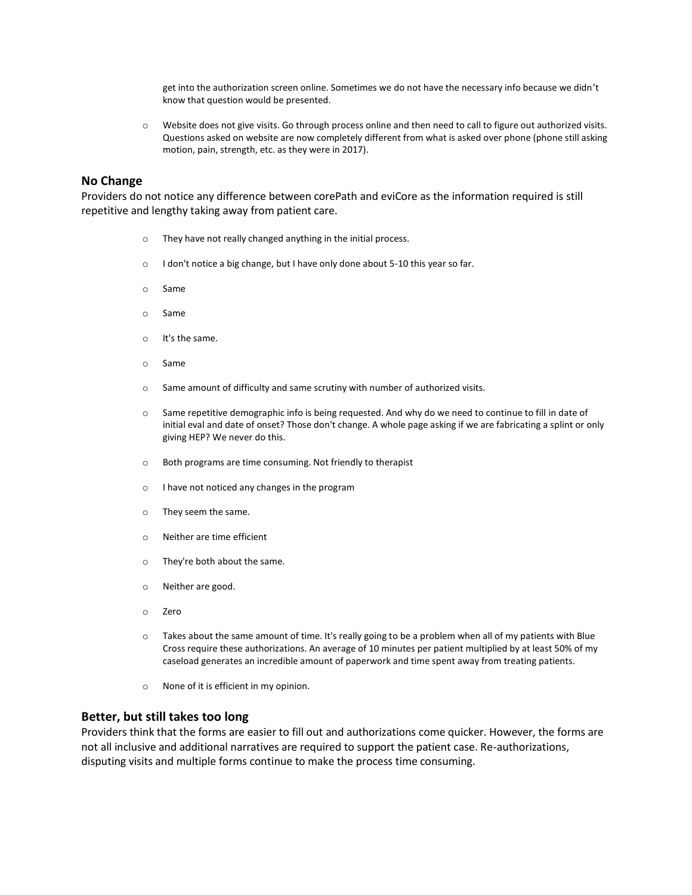get into the authorization screen online. Sometimes we do not have the necessary info because we didn't know that question would be presented.

o Website does not give visits. Go through process online and then need to call to figure out authorized visits. Questions asked on website are now completely different from what is asked over phone (phone still asking motion, pain, strength, etc. as they were in 2017).

### **No Change**

Providers do not notice any difference between corePath and eviCore as the information required is still repetitive and lengthy taking away from patient care.

- o They have not really changed anything in the initial process.
- o I don't notice a big change, but I have only done about 5-10 this year so far.
- o Same
- o Same
- o It's the same.
- o Same
- o Same amount of difficulty and same scrutiny with number of authorized visits.
- o Same repetitive demographic info is being requested. And why do we need to continue to fill in date of initial eval and date of onset? Those don't change. A whole page asking if we are fabricating a splint or only giving HEP? We never do this.
- o Both programs are time consuming. Not friendly to therapist
- o I have not noticed any changes in the program
- o They seem the same.
- o Neither are time efficient
- o They're both about the same.
- o Neither are good.
- o Zero
- o Takes about the same amount of time. It's really going to be a problem when all of my patients with Blue Cross require these authorizations. An average of 10 minutes per patient multiplied by at least 50% of my caseload generates an incredible amount of paperwork and time spent away from treating patients.
- o None of it is efficient in my opinion.

### **Better, but still takes too long**

Providers think that the forms are easier to fill out and authorizations come quicker. However, the forms are not all inclusive and additional narratives are required to support the patient case. Re-authorizations, disputing visits and multiple forms continue to make the process time consuming.